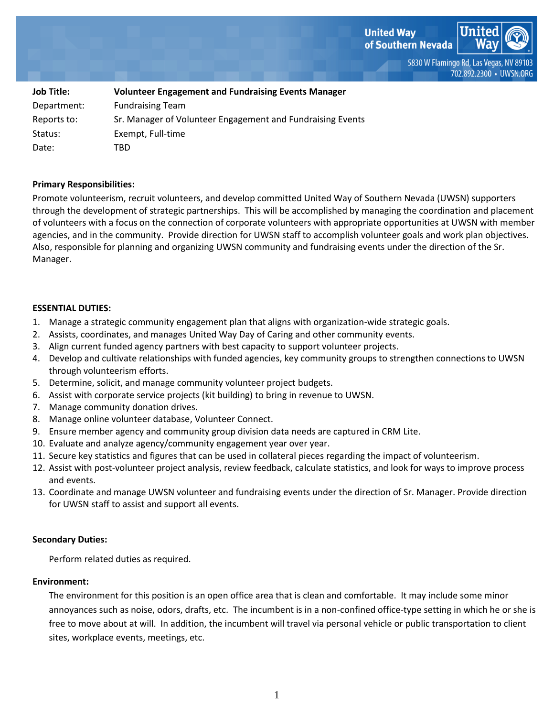**United Wav** of Southern Nevada

> 5830 W Flamingo Rd, Las Vegas, NV 89103 702.892.2300 · UWSN.ORG

| Job Title:  | <b>Volunteer Engagement and Fundraising Events Manager</b> |
|-------------|------------------------------------------------------------|
| Department: | <b>Fundraising Team</b>                                    |
| Reports to: | Sr. Manager of Volunteer Engagement and Fundraising Events |
| Status:     | Exempt, Full-time                                          |
| Date:       | TBD                                                        |

### **Primary Responsibilities:**

Promote volunteerism, recruit volunteers, and develop committed United Way of Southern Nevada (UWSN) supporters through the development of strategic partnerships. This will be accomplished by managing the coordination and placement of volunteers with a focus on the connection of corporate volunteers with appropriate opportunities at UWSN with member agencies, and in the community. Provide direction for UWSN staff to accomplish volunteer goals and work plan objectives. Also, responsible for planning and organizing UWSN community and fundraising events under the direction of the Sr. Manager.

### **ESSENTIAL DUTIES:**

- 1. Manage a strategic community engagement plan that aligns with organization-wide strategic goals.
- 2. Assists, coordinates, and manages United Way Day of Caring and other community events.
- 3. Align current funded agency partners with best capacity to support volunteer projects.
- 4. Develop and cultivate relationships with funded agencies, key community groups to strengthen connections to UWSN through volunteerism efforts.
- 5. Determine, solicit, and manage community volunteer project budgets.
- 6. Assist with corporate service projects (kit building) to bring in revenue to UWSN.
- 7. Manage community donation drives.
- 8. Manage online volunteer database, Volunteer Connect.
- 9. Ensure member agency and community group division data needs are captured in CRM Lite.
- 10. Evaluate and analyze agency/community engagement year over year.
- 11. Secure key statistics and figures that can be used in collateral pieces regarding the impact of volunteerism.
- 12. Assist with post-volunteer project analysis, review feedback, calculate statistics, and look for ways to improve process and events.
- 13. Coordinate and manage UWSN volunteer and fundraising events under the direction of Sr. Manager. Provide direction for UWSN staff to assist and support all events.

# **Secondary Duties:**

Perform related duties as required.

# **Environment:**

The environment for this position is an open office area that is clean and comfortable. It may include some minor annoyances such as noise, odors, drafts, etc. The incumbent is in a non-confined office-type setting in which he or she is free to move about at will. In addition, the incumbent will travel via personal vehicle or public transportation to client sites, workplace events, meetings, etc.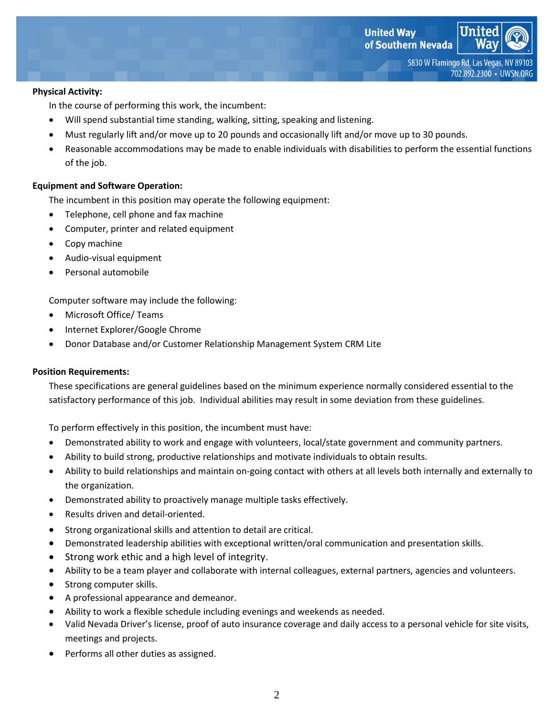**United Way** of Southern Nevada

> 5830 W Flamingo Rd, Las Vegas, NV 89103 702.892.2300 · UWSN.ORG

### **Physical Activity:**

In the course of performing this work, the incumbent:

- Will spend substantial time standing, walking, sitting, speaking and listening.
- Must regularly lift and/or move up to 20 pounds and occasionally lift and/or move up to 30 pounds.
- Reasonable accommodations may be made to enable individuals with disabilities to perform the essential functions of the job.

# **Equipment and Software Operation:**

The incumbent in this position may operate the following equipment:

- Telephone, cell phone and fax machine
- Computer, printer and related equipment
- Copy machine
- Audio-visual equipment
- Personal automobile

Computer software may include the following:

- Microsoft Office/ Teams
- Internet Explorer/Google Chrome
- Donor Database and/or Customer Relationship Management System CRM Lite

# **Position Requirements:**

These specifications are general guidelines based on the minimum experience normally considered essential to the satisfactory performance of this job. Individual abilities may result in some deviation from these guidelines.

To perform effectively in this position, the incumbent must have:

- Demonstrated ability to work and engage with volunteers, local/state government and community partners.
- Ability to build strong, productive relationships and motivate individuals to obtain results.
- Ability to build relationships and maintain on-going contact with others at all levels both internally and externally to the organization.
- Demonstrated ability to proactively manage multiple tasks effectively.
- Results driven and detail-oriented.
- Strong organizational skills and attention to detail are critical.
- Demonstrated leadership abilities with exceptional written/oral communication and presentation skills.
- Strong work ethic and a high level of integrity.
- Ability to be a team player and collaborate with internal colleagues, external partners, agencies and volunteers.
- Strong computer skills.
- A professional appearance and demeanor.
- Ability to work a flexible schedule including evenings and weekends as needed.
- Valid Nevada Driver's license, proof of auto insurance coverage and daily access to a personal vehicle for site visits, meetings and projects.
- Performs all other duties as assigned.